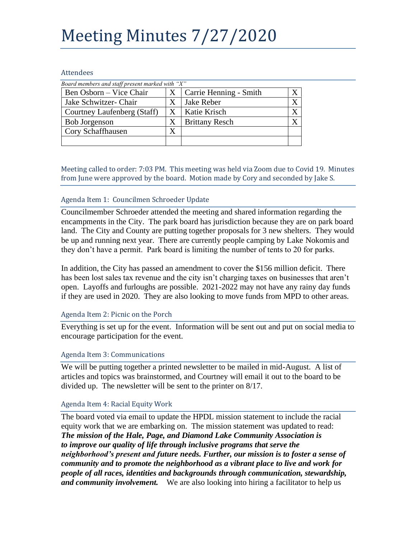# Meeting Minutes 7/27/2020

#### Attendees

| Board members and staff present marked with " $X$ " |   |                        |  |
|-----------------------------------------------------|---|------------------------|--|
| Ben Osborn – Vice Chair                             |   | Carrie Henning - Smith |  |
| Jake Schwitzer- Chair                               |   | Jake Reber             |  |
| Courtney Laufenberg (Staff)                         |   | Katie Krisch           |  |
| <b>Bob Jorgenson</b>                                | X | <b>Brittany Resch</b>  |  |
| Cory Schaffhausen                                   |   |                        |  |
|                                                     |   |                        |  |

Meeting called to order: 7:03 PM. This meeting was held via Zoom due to Covid 19. Minutes from June were approved by the board. Motion made by Cory and seconded by Jake S.

#### Agenda Item 1: Councilmen Schroeder Update

Councilmember Schroeder attended the meeting and shared information regarding the encampments in the City. The park board has jurisdiction because they are on park board land. The City and County are putting together proposals for 3 new shelters. They would be up and running next year. There are currently people camping by Lake Nokomis and they don't have a permit. Park board is limiting the number of tents to 20 for parks.

In addition, the City has passed an amendment to cover the \$156 million deficit. There has been lost sales tax revenue and the city isn't charging taxes on businesses that aren't open. Layoffs and furloughs are possible. 2021-2022 may not have any rainy day funds if they are used in 2020. They are also looking to move funds from MPD to other areas.

## Agenda Item 2: Picnic on the Porch

Everything is set up for the event. Information will be sent out and put on social media to encourage participation for the event.

## Agenda Item 3: Communications

We will be putting together a printed newsletter to be mailed in mid-August. A list of articles and topics was brainstormed, and Courtney will email it out to the board to be divided up. The newsletter will be sent to the printer on 8/17.

#### Agenda Item 4: Racial Equity Work

The board voted via email to update the HPDL mission statement to include the racial equity work that we are embarking on. The mission statement was updated to read: *The mission of the Hale, Page, and Diamond Lake Community Association is to improve our quality of life through inclusive programs that serve the neighborhood's present and future needs. Further, our mission is to foster a sense of community and to promote the neighborhood as a vibrant place to live and work for people of all races, identities and backgrounds through communication, stewardship, and community involvement.* We are also looking into hiring a facilitator to help us